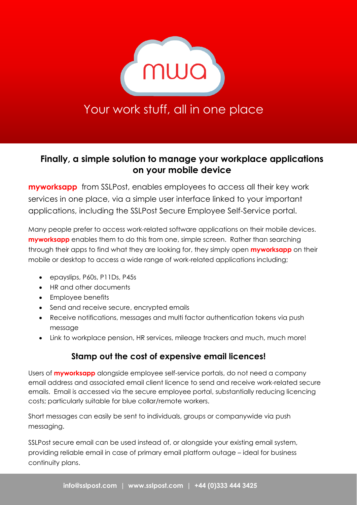

# Your work stuff, all in one place

## **Finally, a simple solution to manage your workplace applications on your mobile device**

**myworksapp** from SSLPost, enables employees to access all their key work services in one place, via a simple user interface linked to your important applications, including the SSLPost Secure Employee Self-Service portal.

Many people prefer to access work-related software applications on their mobile devices. **myworksapp** enables them to do this from one, simple screen. Rather than searching through their apps to find what they are looking for, they simply open **myworksapp** on their mobile or desktop to access a wide range of work-related applications including;

- epayslips, P60s, P11Ds, P45s
- HR and other documents
- Employee benefits
- Send and receive secure, encrypted emails
- Receive notifications, messages and multi factor authentication tokens via push message
- Link to workplace pension, HR services, mileage trackers and much, much more!

## **Stamp out the cost of expensive email licences!**

Users of **myworksapp** alongside employee self-service portals, do not need a company email address and associated email client licence to send and receive work-related secure emails. Email is accessed via the secure employee portal, substantially reducing licencing costs; particularly suitable for blue collar/remote workers.

Short messages can easily be sent to individuals, groups or companywide via push messaging.

SSLPost secure email can be used instead of, or alongside your existing email system, providing reliable email in case of primary email platform outage – ideal for business continuity plans.